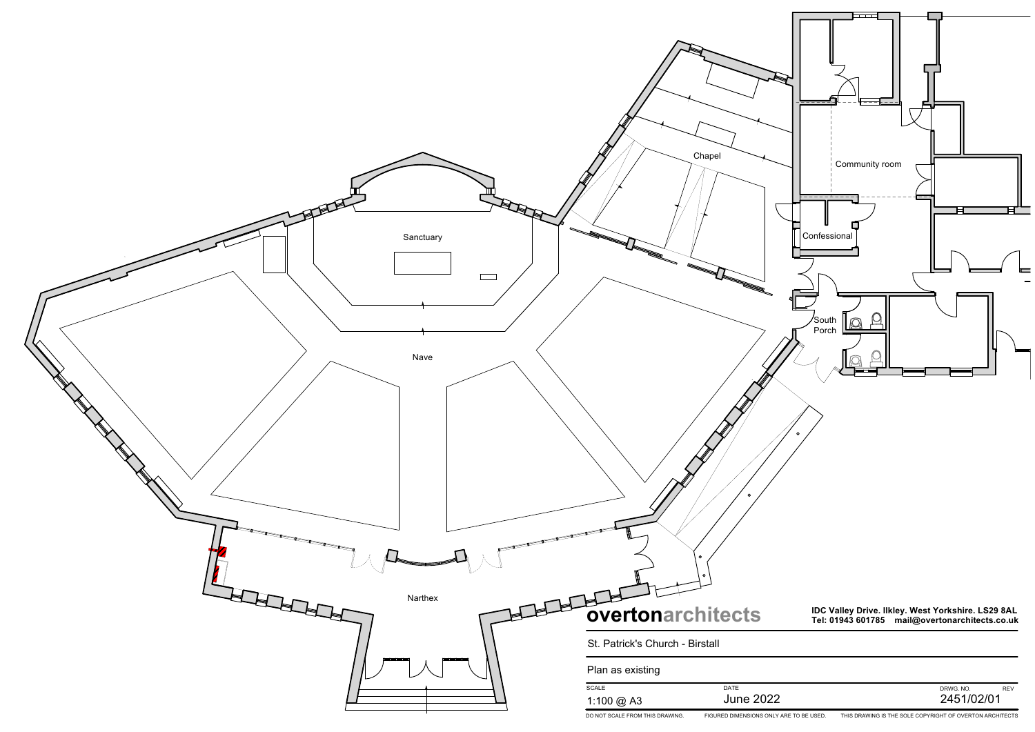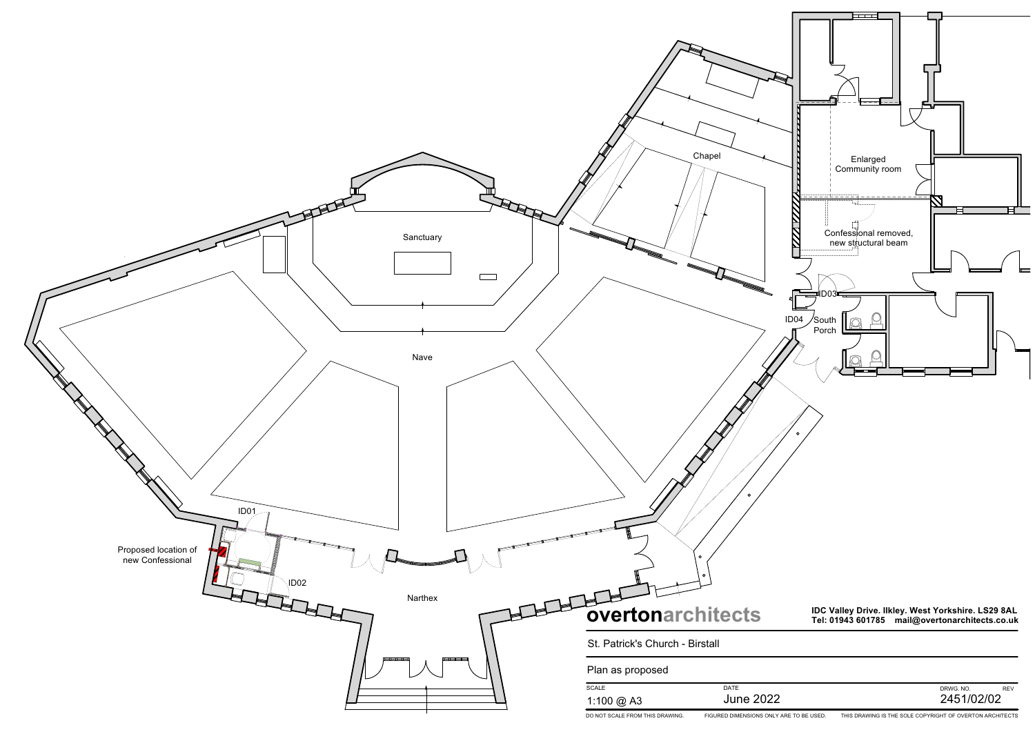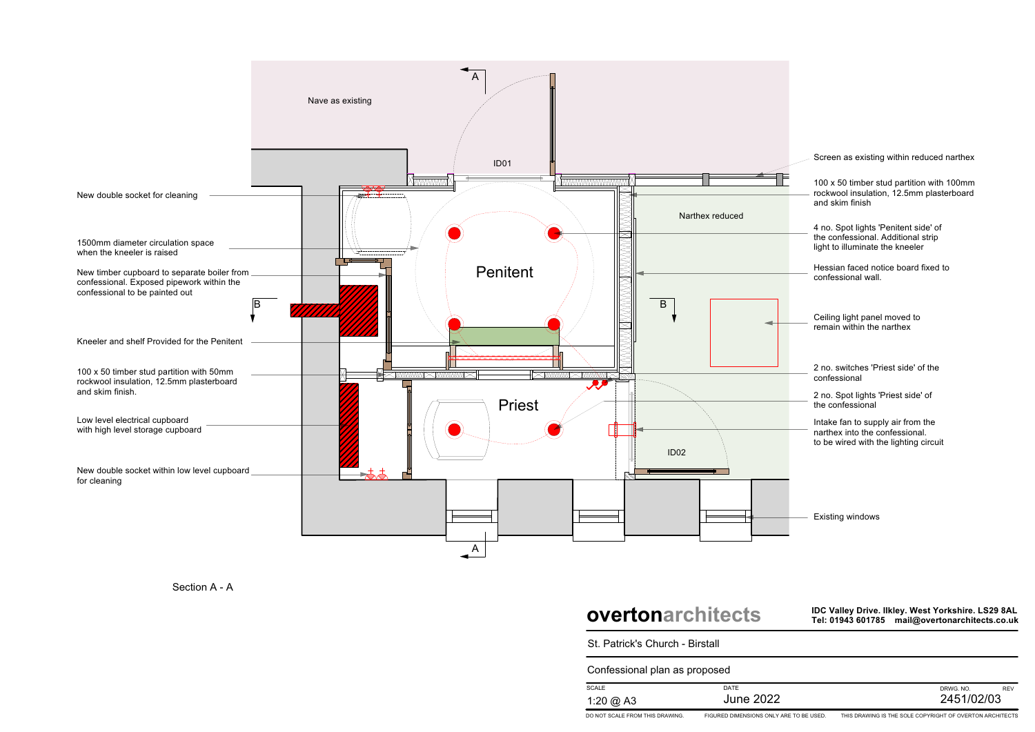Intake fan to supply air from the narthex into the confessional. to be wired with the lighting circuit

2 no. Spot lights 'Priest side' of the confessional

4 no. Spot lights 'Penitent side' of the confessional. Additional strip light to illuminate the kneeler

2 no. switches 'Priest side' of the confessional

100 x 50 timber stud partition with 100mm rockwool insulation, 12.5mm plasterboard and skim finish

Existing windows

Hessian faced notice board fixed to confessional wall.

Ceiling light panel moved to remain within the narthex

## **overtonarchitects**

**IDC Valley Drive. Ilkley. West Yorkshire. LS29 8AL Tel: 01943 601785 mail@overtonarchitects.co.uk**

| <b>SCALE</b> | <b>DATE</b>      | DRWG, NO.  |
|--------------|------------------|------------|
| 1:20 @ A3    | <b>June 2022</b> | 2451/02/03 |



St. Patrick's Church - Birstall

Confessional plan as proposed

Screen as existing within reduced narthex



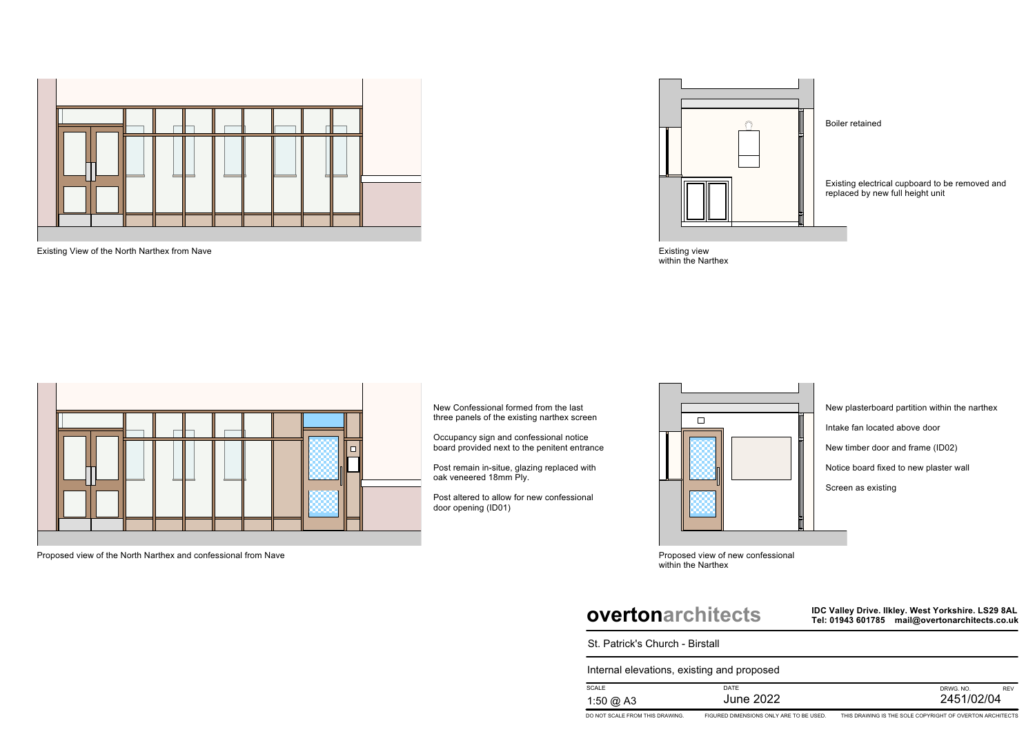

Existing View of the North Narthex from Nave



Proposed view of the North Narthex and confessional from Nave

Existing view within the Narthex



Proposed view of new confessional within the Narthex

New Confessional formed from the last three panels of the existing narthex screen

Occupancy sign and confessional notice board provided next to the penitent entrance Existing electrical cupboard to be removed and replaced by new full height unit

Post remain in-situe, glazing replaced with oak veneered 18mm Ply.

Post altered to allow for new confessional door opening (ID01)



#### Boiler retained

## **overtonarchitects**

**IDC Valley Drive. Ilkley. West Yorkshire. LS29 8AL Tel: 01943 601785 mail@overtonarchitects.co.uk**

| <b>SCALE</b> | <b>DATE</b>  | DRWG, NO.  |
|--------------|--------------|------------|
| 1:50 @ A3    | 2022<br>June | 2451/02/04 |





St. Patrick's Church - Birstall

Internal elevations, existing and proposed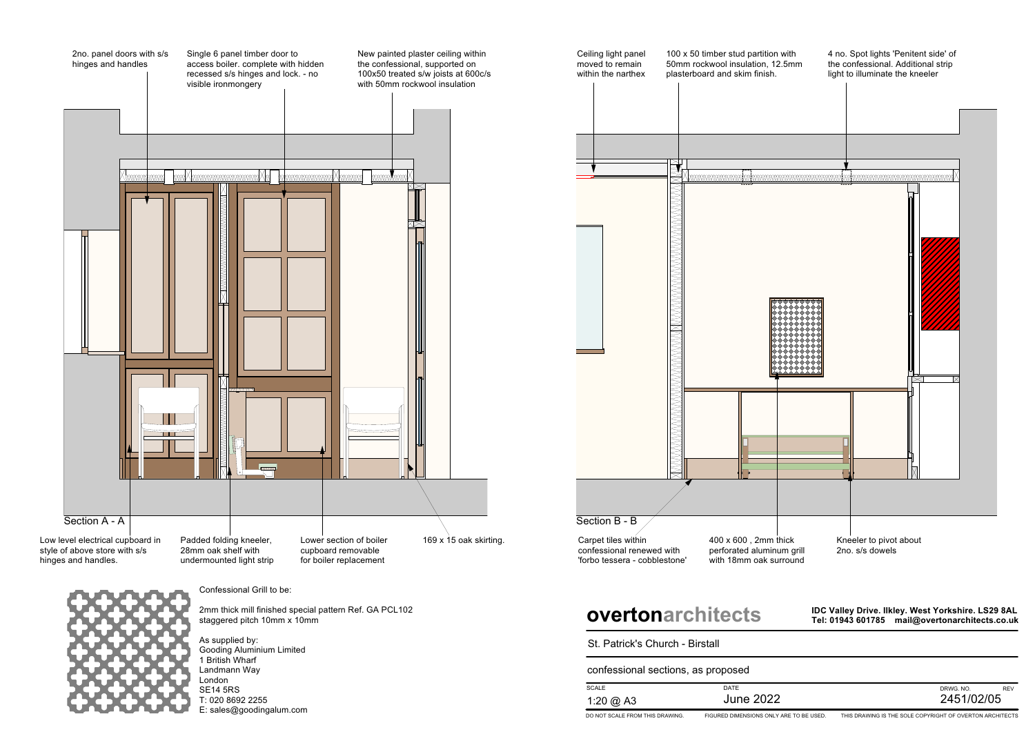



with 18mm oak surround

Confessional Grill to be:

2mm thick mill finished special pattern Ref. GA PCL102 staggered pitch 10mm x 10mm

As supplied by: Gooding Aluminium Limited 1 British Wharf Landmann Way London SE14 5RS T: 020 8692 2255 E: sales@goodingalum.com

## **overtonarchitects**

**IDC Valley Drive. Ilkley. West Yorkshire. LS29 8AL Tel: 01943 601785 mail@overtonarchitects.co.uk**

| St. Patrick's Church - Birstall<br>confessional sections, as proposed |                  |        |
|-----------------------------------------------------------------------|------------------|--------|
|                                                                       |                  |        |
| 1:20 @ A3                                                             | <b>June 2022</b> | 2451/C |

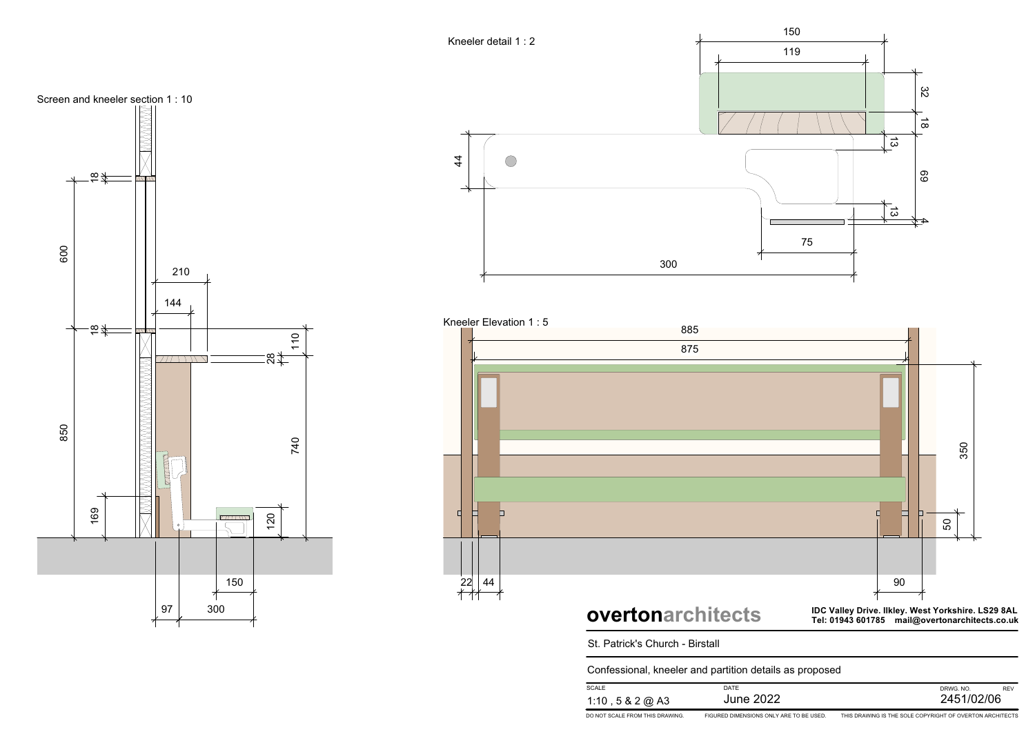

**IDC Valley Drive. Ilkley. West Yorkshire. LS29 8AL Tel: 01943 601785 mail@overtonarchitects.co.uk**



Screen and kneeler section 1 : 10 $\frac{1}{2}$ 18  $+$ <br> $+$ <br> $+$ <br> $+$ <br> $+$ <br> $+$ <br> $+$ <br> $+$ <br> $+$ 600210 144  $\frac{1}{2}$ **ANDERS AND SERVICE SERVICE SERVICE SERVICE SERVICE SERVICE SERVICE SERVICE SERVICE SERVICE SERVICE SERVICE SE**  $\begin{array}{c}\n 110 \\
\hline\n 110\n \end{array}$  $77711111$  $\approx$ 850740SONONO 16 912 0 $\subset$ 150 97 300



| Confessional, kneeler and partition details as proposed |                                         |                                                          |
|---------------------------------------------------------|-----------------------------------------|----------------------------------------------------------|
| <b>SCALE</b>                                            | DATE                                    | <b>REV</b><br>DRWG, NO.                                  |
| 1:10, 5 & 2 @ A3                                        | June 2022                               | 2451/02/06                                               |
| DO NOT SCALE FROM THIS DRAWING.                         | FIGURED DIMENSIONS ONLY ARE TO BE USED. | THIS DRAWING IS THE SOLE COPYRIGHT OF OVERTON ARCHITECTS |

St. Patrick's Church - Birstall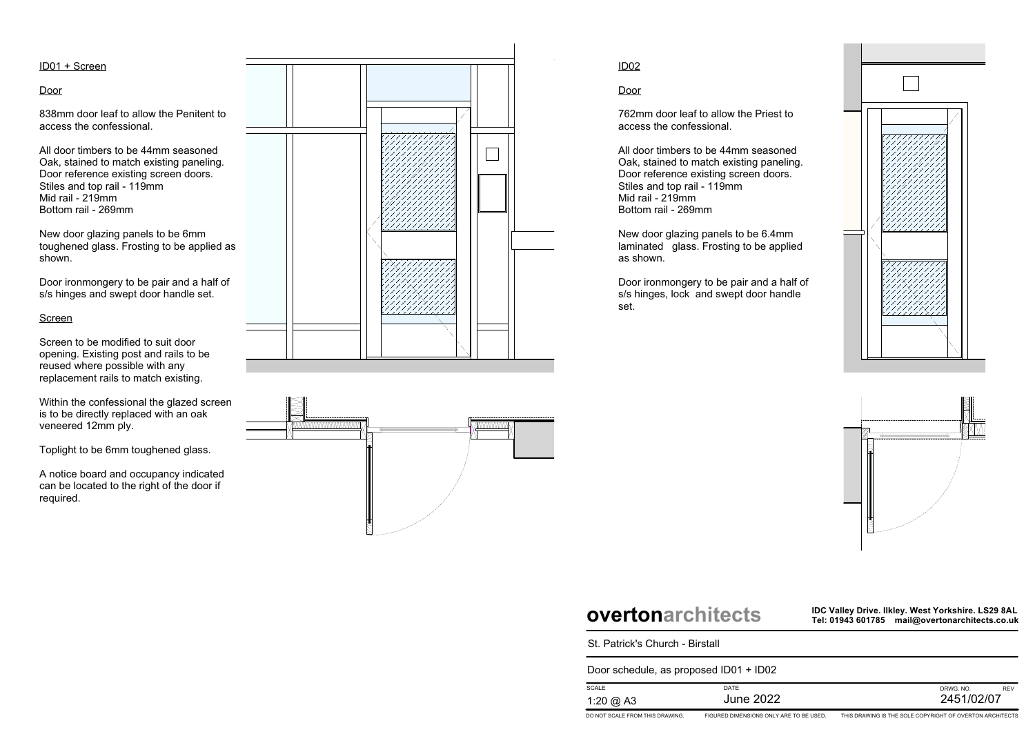**IDC Valley Drive. Ilkley. West Yorkshire. LS29 8AL Tel: 01943 601785 mail@overtonarchitects.co.uk**

| St. Patrick's Church - Birstall        |                                         |                                             |  |
|----------------------------------------|-----------------------------------------|---------------------------------------------|--|
| Door schedule, as proposed ID01 + ID02 |                                         |                                             |  |
| <b>SCALE</b>                           | DATE                                    | DRWG, NO.                                   |  |
| 1:20 @ A3                              | <b>June 2022</b>                        | 2451/C                                      |  |
| DO NOT SCALE EROM THIS DRAWING.        | FIGURED DIMENSIONS ONLY ARE TO BE USED. | THIS DRAWING IS THE SOLE COPVRIGHT OF OVERT |  |





ID01 + Screen

#### Door

838mm door leaf to allow the Penitent to access the confessional.

All door timbers to be 44mm seasoned Oak, stained to match existing paneling. Door reference existing screen doors. Stiles and top rail - 119mm Mid rail - 219mm Bottom rail - 269mm

New door glazing panels to be 6mm toughened glass. Frosting to be applied as shown.

Door ironmongery to be pair and a half of s/s hinges and swept door handle set.

#### Screen

Screen to be modified to suit door opening. Existing post and rails to be reused where possible with any replacement rails to match existing.

Within the confessional the glazed screen is to be directly replaced with an oak veneered 12mm ply.

Toplight to be 6mm toughened glass.

A notice board and occupancy indicated can be located to the right of the door if required.





### ID02

Door

762mm door leaf to allow the Priest to access the confessional.

All door timbers to be 44mm seasoned Oak, stained to match existing paneling. Door reference existing screen doors. Stiles and top rail - 119mm Mid rail - 219mm Bottom rail - 269mm

New door glazing panels to be 6.4mm laminated glass. Frosting to be applied as shown.

Door ironmongery to be pair and a half of s/s hinges, lock and swept door handle set.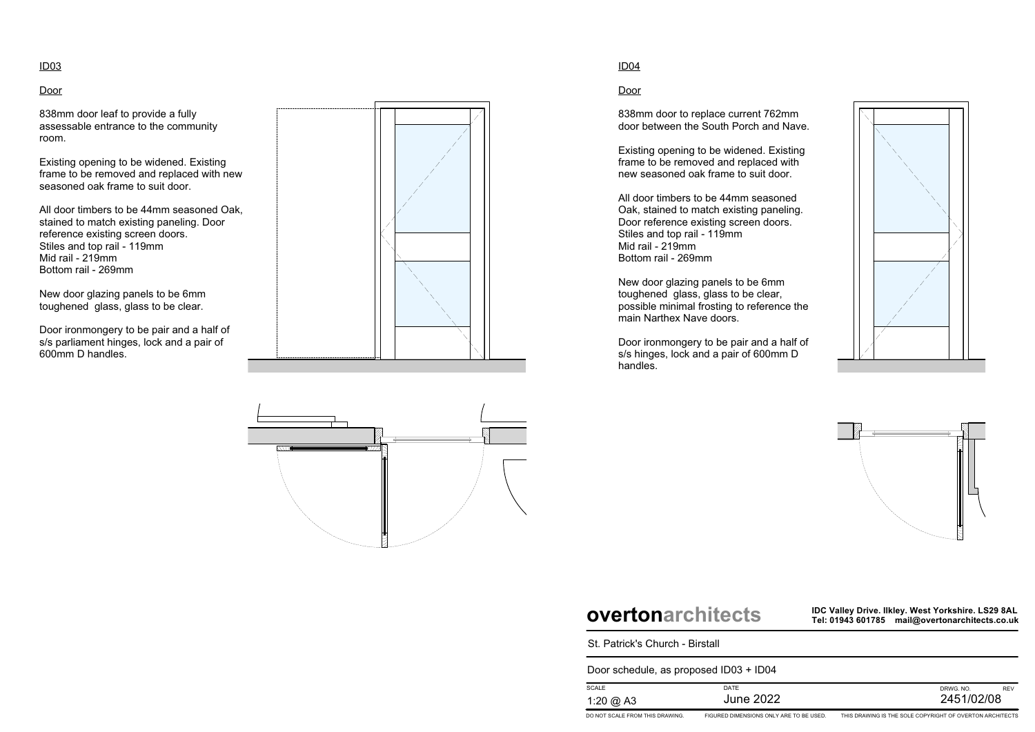**IDC Valley Drive. Ilkley. West Yorkshire. LS29 8AL Tel: 01943 601785 mail@overtonarchitects.co.uk**

| St. Patrick's Church - Birstall        |                                         |                                             |  |
|----------------------------------------|-----------------------------------------|---------------------------------------------|--|
| Door schedule, as proposed ID03 + ID04 |                                         |                                             |  |
| <b>SCALE</b>                           | DATE                                    | DRWG, NO.                                   |  |
| 1:20 @ A3                              | <b>June 2022</b>                        | 2451/                                       |  |
| DO NOT SCALE FROM THIS DRAWING.        | FIGURED DIMENSIONS ONLY ARE TO BE USED. | THIS DRAWING IS THE SOLE COPYRIGHT OF OVERT |  |









### Door

838mm door leaf to provide a fully assessable entrance to the community room.

Existing opening to be widened. Existing frame to be removed and replaced with new seasoned oak frame to suit door.

All door timbers to be 44mm seasoned Oak, stained to match existing paneling. Door reference existing screen doors. Stiles and top rail - 119mm Mid rail - 219mm Bottom rail - 269mm

New door glazing panels to be 6mm toughened glass, glass to be clear.

Door ironmongery to be pair and a half of s/s parliament hinges, lock and a pair of 600mm D handles.





### ID04

Door

838mm door to replace current 762mm door between the South Porch and Nave.

Existing opening to be widened. Existing frame to be removed and replaced with new seasoned oak frame to suit door.

All door timbers to be 44mm seasoned Oak, stained to match existing paneling. Door reference existing screen doors. Stiles and top rail - 119mm Mid rail - 219mm Bottom rail - 269mm

New door glazing panels to be 6mm toughened glass, glass to be clear, possible minimal frosting to reference the main Narthex Nave doors.

Door ironmongery to be pair and a half of s/s hinges, lock and a pair of 600mm D handles.